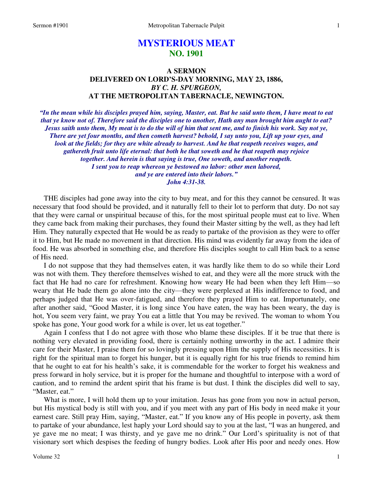# **MYSTERIOUS MEAT NO. 1901**

## **A SERMON DELIVERED ON LORD'S-DAY MORNING, MAY 23, 1886,**  *BY C. H. SPURGEON,*  **AT THE METROPOLITAN TABERNACLE, NEWINGTON.**

*"In the mean while his disciples prayed him, saying, Master, eat. But he said unto them, I have meat to eat that ye know not of. Therefore said the disciples one to another, Hath any man brought him aught to eat? Jesus saith unto them, My meat is to do the will of him that sent me, and to finish his work. Say not ye, There are yet four months, and then cometh harvest? behold, I say unto you, Lift up your eyes, and look at the fields; for they are white already to harvest. And he that reapeth receives wages, and gathereth fruit unto life eternal: that both he that soweth and he that reapeth may rejoice together. And herein is that saying is true, One soweth, and another reapeth. I sent you to reap whereon ye bestowed no labor: other men labored, and ye are entered into their labors." John 4:31-38.* 

THE disciples had gone away into the city to buy meat, and for this they cannot be censured. It was necessary that food should be provided, and it naturally fell to their lot to perform that duty. Do not say that they were carnal or unspiritual because of this, for the most spiritual people must eat to live. When they came back from making their purchases, they found their Master sitting by the well, as they had left Him. They naturally expected that He would be as ready to partake of the provision as they were to offer it to Him, but He made no movement in that direction. His mind was evidently far away from the idea of food. He was absorbed in something else, and therefore His disciples sought to call Him back to a sense of His need.

 I do not suppose that they had themselves eaten, it was hardly like them to do so while their Lord was not with them. They therefore themselves wished to eat, and they were all the more struck with the fact that He had no care for refreshment. Knowing how weary He had been when they left Him—so weary that He bade them go alone into the city—they were perplexed at His indifference to food, and perhaps judged that He was over-fatigued, and therefore they prayed Him to eat. Importunately, one after another said, "Good Master, it is long since You have eaten, the way has been weary, the day is hot, You seem very faint, we pray You eat a little that You may be revived. The woman to whom You spoke has gone, Your good work for a while is over, let us eat together."

 Again I confess that I do not agree with those who blame these disciples. If it be true that there is nothing very elevated in providing food, there is certainly nothing unworthy in the act. I admire their care for their Master, I praise them for so lovingly pressing upon Him the supply of His necessities. It is right for the spiritual man to forget his hunger, but it is equally right for his true friends to remind him that he ought to eat for his health's sake, it is commendable for the worker to forget his weakness and press forward in holy service, but it is proper for the humane and thoughtful to interpose with a word of caution, and to remind the ardent spirit that his frame is but dust. I think the disciples did well to say, "Master, eat."

What is more, I will hold them up to your imitation. Jesus has gone from you now in actual person, but His mystical body is still with you, and if you meet with any part of His body in need make it your earnest care. Still pray Him, saying, "Master, eat." If you know any of His people in poverty, ask them to partake of your abundance, lest haply your Lord should say to you at the last, "I was an hungered, and ye gave me no meat; I was thirsty, and ye gave me no drink." Our Lord's spirituality is not of that visionary sort which despises the feeding of hungry bodies. Look after His poor and needy ones. How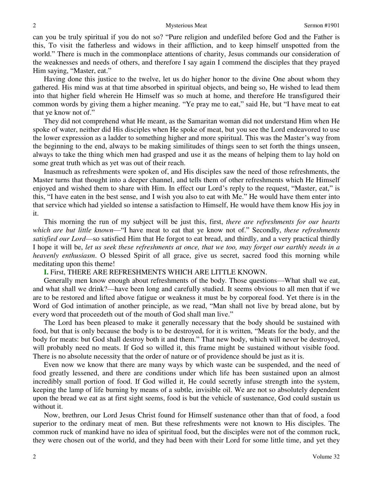can you be truly spiritual if you do not so? "Pure religion and undefiled before God and the Father is this, To visit the fatherless and widows in their affliction, and to keep himself unspotted from the world." There is much in the commonplace attentions of charity, Jesus commands our consideration of the weaknesses and needs of others, and therefore I say again I commend the disciples that they prayed Him saying, "Master, eat."

 Having done this justice to the twelve, let us do higher honor to the divine One about whom they gathered. His mind was at that time absorbed in spiritual objects, and being so, He wished to lead them into that higher field wherein He Himself was so much at home, and therefore He transfigured their common words by giving them a higher meaning. "Ye pray me to eat," said He, but "I have meat to eat that ye know not of."

 They did not comprehend what He meant, as the Samaritan woman did not understand Him when He spoke of water, neither did His disciples when He spoke of meat, but you see the Lord endeavored to use the lower expression as a ladder to something higher and more spiritual. This was the Master's way from the beginning to the end, always to be making similitudes of things seen to set forth the things unseen, always to take the thing which men had grasped and use it as the means of helping them to lay hold on some great truth which as yet was out of their reach.

 Inasmuch as refreshments were spoken of, and His disciples saw the need of those refreshments, the Master turns that thought into a deeper channel, and tells them of other refreshments which He Himself enjoyed and wished them to share with Him. In effect our Lord's reply to the request, "Master, eat," is this, "I have eaten in the best sense, and I wish you also to eat with Me." He would have them enter into that service which had yielded so intense a satisfaction to Himself, He would have them know His joy in it.

 This morning the run of my subject will be just this, first, *there are refreshments for our hearts which are but little known*—"I have meat to eat that ye know not of." Secondly, *these refreshments satisfied our Lord*—so satisfied Him that He forgot to eat bread, and thirdly, and a very practical thirdly I hope it will be, *let us seek these refreshments at once, that we too, may forget our earthly needs in a heavenly enthusiasm*. O blessed Spirit of all grace, give us secret, sacred food this morning while meditating upon this theme!

## **I.** First, THERE ARE REFRESHMENTS WHICH ARE LITTLE KNOWN.

 Generally men know enough about refreshments of the body. Those questions—What shall we eat, and what shall we drink?—have been long and carefully studied. It seems obvious to all men that if we are to be restored and lifted above fatigue or weakness it must be by corporeal food. Yet there is in the Word of God intimation of another principle, as we read, "Man shall not live by bread alone, but by every word that proceedeth out of the mouth of God shall man live."

 The Lord has been pleased to make it generally necessary that the body should be sustained with food, but that is only because the body is to be destroyed, for it is written, "Meats for the body, and the body for meats: but God shall destroy both it and them." That new body, which will never be destroyed, will probably need no meats. If God so willed it, this frame might be sustained without visible food. There is no absolute necessity that the order of nature or of providence should be just as it is.

 Even now we know that there are many ways by which waste can be suspended, and the need of food greatly lessened, and there are conditions under which life has been sustained upon an almost incredibly small portion of food. If God willed it, He could secretly infuse strength into the system, keeping the lamp of life burning by means of a subtle, invisible oil. We are not so absolutely dependent upon the bread we eat as at first sight seems, food is but the vehicle of sustenance, God could sustain us without it.

 Now, brethren, our Lord Jesus Christ found for Himself sustenance other than that of food, a food superior to the ordinary meat of men. But these refreshments were not known to His disciples. The common ruck of mankind have no idea of spiritual food, but the disciples were not of the common ruck, they were chosen out of the world, and they had been with their Lord for some little time, and yet they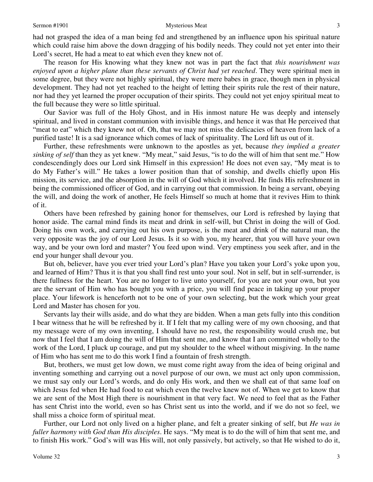had not grasped the idea of a man being fed and strengthened by an influence upon his spiritual nature which could raise him above the down dragging of his bodily needs. They could not yet enter into their Lord's secret, He had a meat to eat which even they knew not of.

 The reason for His knowing what they knew not was in part the fact that *this nourishment was enjoyed upon a higher plane than these servants of Christ had yet reached*. They were spiritual men in some degree, but they were not highly spiritual, they were mere babes in grace, though men in physical development. They had not yet reached to the height of letting their spirits rule the rest of their nature, nor had they yet learned the proper occupation of their spirits. They could not yet enjoy spiritual meat to the full because they were so little spiritual.

 Our Savior was full of the Holy Ghost, and in His inmost nature He was deeply and intensely spiritual, and lived in constant communion with invisible things, and hence it was that He perceived that "meat to eat" which they knew not of. Oh, that we may not miss the delicacies of heaven from lack of a purified taste! It is a sad ignorance which comes of lack of spirituality. The Lord lift us out of it.

 Further, these refreshments were unknown to the apostles as yet, because *they implied a greater sinking of self* than they as yet knew. "My meat," said Jesus, "is to do the will of him that sent me." How condescendingly does our Lord sink Himself in this expression! He does not even say, "My meat is to do My Father's will." He takes a lower position than that of sonship, and dwells chiefly upon His mission, its service, and the absorption in the will of God which it involved. He finds His refreshment in being the commissioned officer of God, and in carrying out that commission. In being a servant, obeying the will, and doing the work of another, He feels Himself so much at home that it revives Him to think of it.

 Others have been refreshed by gaining honor for themselves, our Lord is refreshed by laying that honor aside. The carnal mind finds its meat and drink in self-will, but Christ in doing the will of God. Doing his own work, and carrying out his own purpose, is the meat and drink of the natural man, the very opposite was the joy of our Lord Jesus. Is it so with you, my hearer, that you will have your own way, and be your own lord and master? You feed upon wind. Very emptiness you seek after, and in the end your hunger shall devour you.

 But oh, believer, have you ever tried your Lord's plan? Have you taken your Lord's yoke upon you, and learned of Him? Thus it is that you shall find rest unto your soul. Not in self, but in self-surrender, is there fullness for the heart. You are no longer to live unto yourself, for you are not your own, but you are the servant of Him who has bought you with a price, you will find peace in taking up your proper place. Your lifework is henceforth not to be one of your own selecting, but the work which your great Lord and Master has chosen for you.

 Servants lay their wills aside, and do what they are bidden. When a man gets fully into this condition I bear witness that he will be refreshed by it. If I felt that my calling were of my own choosing, and that my message were of my own inventing, I should have no rest, the responsibility would crush me, but now that I feel that I am doing the will of Him that sent me, and know that I am committed wholly to the work of the Lord, I pluck up courage, and put my shoulder to the wheel without misgiving. In the name of Him who has sent me to do this work I find a fountain of fresh strength.

 But, brothers, we must get low down, we must come right away from the idea of being original and inventing something and carrying out a novel purpose of our own, we must act only upon commission, we must say only our Lord's words, and do only His work, and then we shall eat of that same loaf on which Jesus fed when He had food to eat which even the twelve knew not of. When we get to know that we are sent of the Most High there is nourishment in that very fact. We need to feel that as the Father has sent Christ into the world, even so has Christ sent us into the world, and if we do not so feel, we shall miss a choice form of spiritual meat.

 Further, our Lord not only lived on a higher plane, and felt a greater sinking of self, but *He was in fuller harmony with God than His disciples*. He says. "My meat is to do the will of him that sent me, and to finish His work." God's will was His will, not only passively, but actively, so that He wished to do it,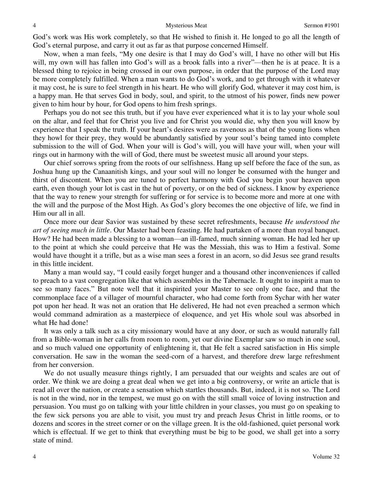God's work was His work completely, so that He wished to finish it. He longed to go all the length of God's eternal purpose, and carry it out as far as that purpose concerned Himself.

 Now, when a man feels, "My one desire is that I may do God's will, I have no other will but His will, my own will has fallen into God's will as a brook falls into a river"—then he is at peace. It is a blessed thing to rejoice in being crossed in our own purpose, in order that the purpose of the Lord may be more completely fulfilled. When a man wants to do God's work, and to get through with it whatever it may cost, he is sure to feel strength in his heart. He who will glorify God, whatever it may cost him, is a happy man. He that serves God in body, soul, and spirit, to the utmost of his power, finds new power given to him hour by hour, for God opens to him fresh springs.

 Perhaps you do not see this truth, but if you have ever experienced what it is to lay your whole soul on the altar, and feel that for Christ you live and for Christ you would die, why then you will know by experience that I speak the truth. If your heart's desires were as ravenous as that of the young lions when they howl for their prey, they would be abundantly satisfied by your soul's being tamed into complete submission to the will of God. When your will is God's will, you will have your will, when your will rings out in harmony with the will of God, there must be sweetest music all around your steps.

 Our chief sorrows spring from the roots of our selfishness. Hang up self before the face of the sun, as Joshua hung up the Canaanitish kings, and your soul will no longer be consumed with the hunger and thirst of discontent. When you are tuned to perfect harmony with God you begin your heaven upon earth, even though your lot is cast in the hut of poverty, or on the bed of sickness. I know by experience that the way to renew your strength for suffering or for service is to become more and more at one with the will and the purpose of the Most High. As God's glory becomes the one objective of life, we find in Him our all in all.

 Once more our dear Savior was sustained by these secret refreshments, because *He understood the art of seeing much in little*. Our Master had been feasting. He had partaken of a more than royal banquet. How? He had been made a blessing to a woman—an ill-famed, much sinning woman. He had led her up to the point at which she could perceive that He was the Messiah, this was to Him a festival. Some would have thought it a trifle, but as a wise man sees a forest in an acorn, so did Jesus see grand results in this little incident.

 Many a man would say, "I could easily forget hunger and a thousand other inconveniences if called to preach to a vast congregation like that which assembles in the Tabernacle. It ought to inspirit a man to see so many faces." But note well that it inspirited your Master to see only one face, and that the commonplace face of a villager of mournful character, who had come forth from Sychar with her water pot upon her head. It was not an oration that He delivered, He had not even preached a sermon which would command admiration as a masterpiece of eloquence, and yet His whole soul was absorbed in what He had done!

 It was only a talk such as a city missionary would have at any door, or such as would naturally fall from a Bible-woman in her calls from room to room, yet our divine Exemplar saw so much in one soul, and so much valued one opportunity of enlightening it, that He felt a sacred satisfaction in His simple conversation. He saw in the woman the seed-corn of a harvest, and therefore drew large refreshment from her conversion.

 We do not usually measure things rightly, I am persuaded that our weights and scales are out of order. We think we are doing a great deal when we get into a big controversy, or write an article that is read all over the nation, or create a sensation which startles thousands. But, indeed, it is not so. The Lord is not in the wind, nor in the tempest, we must go on with the still small voice of loving instruction and persuasion. You must go on talking with your little children in your classes, you must go on speaking to the few sick persons you are able to visit, you must try and preach Jesus Christ in little rooms, or to dozens and scores in the street corner or on the village green. It is the old-fashioned, quiet personal work which is effectual. If we get to think that everything must be big to be good, we shall get into a sorry state of mind.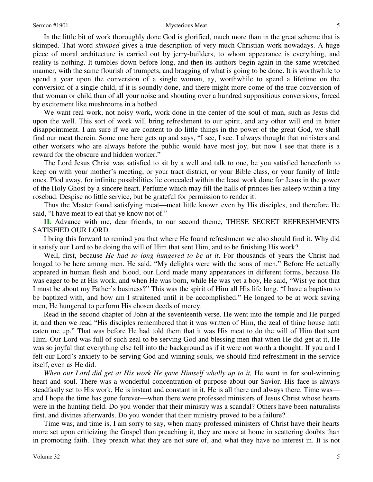In the little bit of work thoroughly done God is glorified, much more than in the great scheme that is skimped. That word *skimped* gives a true description of very much Christian work nowadays. A huge piece of moral architecture is carried out by jerry-builders, to whom appearance is everything, and reality is nothing. It tumbles down before long, and then its authors begin again in the same wretched manner, with the same flourish of trumpets, and bragging of what is going to be done. It is worthwhile to spend a year upon the conversion of a single woman, ay, worthwhile to spend a lifetime on the conversion of a single child, if it is soundly done, and there might more come of the true conversion of that woman or child than of all your noise and shouting over a hundred suppositious conversions, forced by excitement like mushrooms in a hotbed.

 We want real work, not noisy work, work done in the center of the soul of man, such as Jesus did upon the well. This sort of work will bring refreshment to our spirit, and any other will end in bitter disappointment. I am sure if we are content to do little things in the power of the great God, we shall find our meat therein. Some one here gets up and says, "I see, I see. I always thought that ministers and other workers who are always before the public would have most joy, but now I see that there is a reward for the obscure and hidden worker."

 The Lord Jesus Christ was satisfied to sit by a well and talk to one, be you satisfied henceforth to keep on with your mother's meeting, or your tract district, or your Bible class, or your family of little ones. Plod away, for infinite possibilities lie concealed within the least work done for Jesus in the power of the Holy Ghost by a sincere heart. Perfume which may fill the halls of princes lies asleep within a tiny rosebud. Despise no little service, but be grateful for permission to render it.

 Thus the Master found satisfying meat—meat little known even by His disciples, and therefore He said, "I have meat to eat that ye know not of."

**II.** Advance with me, dear friends, to our second theme, THESE SECRET REFRESHMENTS SATISFIED OUR LORD.

 I bring this forward to remind you that where He found refreshment we also should find it. Why did it satisfy our Lord to be doing the will of Him that sent Him, and to be finishing His work?

 Well, first, because *He had so long hungered to be at it*. For thousands of years the Christ had longed to be here among men. He said, "My delights were with the sons of men." Before He actually appeared in human flesh and blood, our Lord made many appearances in different forms, because He was eager to be at His work, and when He was born, while He was yet a boy, He said, "Wist ye not that I must be about my Father's business?" This was the spirit of Him all His life long. "I have a baptism to be baptized with, and how am I straitened until it be accomplished." He longed to be at work saving men, He hungered to perform His chosen deeds of mercy.

 Read in the second chapter of John at the seventeenth verse. He went into the temple and He purged it, and then we read "His disciples remembered that it was written of Him, the zeal of thine house hath eaten me up." That was before He had told them that it was His meat to do the will of Him that sent Him. Our Lord was full of such zeal to be serving God and blessing men that when He did get at it, He was so joyful that everything else fell into the background as if it were not worth a thought. If you and I felt our Lord's anxiety to be serving God and winning souls, we should find refreshment in the service itself, even as He did.

When our Lord did get at His work He gave Himself wholly up to it, He went in for soul-winning heart and soul. There was a wonderful concentration of purpose about our Savior. His face is always steadfastly set to His work, He is instant and constant in it, He is all there and always there. Time was and I hope the time has gone forever—when there were professed ministers of Jesus Christ whose hearts were in the hunting field. Do you wonder that their ministry was a scandal? Others have been naturalists first, and divines afterwards. Do you wonder that their ministry proved to be a failure?

 Time was, and time is, I am sorry to say, when many professed ministers of Christ have their hearts more set upon criticizing the Gospel than preaching it, they are more at home in scattering doubts than in promoting faith. They preach what they are not sure of, and what they have no interest in. It is not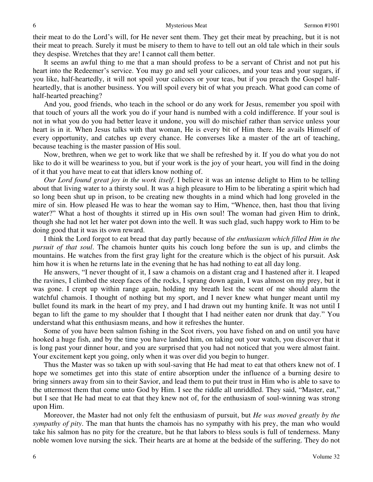their meat to do the Lord's will, for He never sent them. They get their meat by preaching, but it is not their meat to preach. Surely it must be misery to them to have to tell out an old tale which in their souls they despise. Wretches that they are! I cannot call them better.

 It seems an awful thing to me that a man should profess to be a servant of Christ and not put his heart into the Redeemer's service. You may go and sell your calicoes, and your teas and your sugars, if you like, half-heartedly, it will not spoil your calicoes or your teas, but if you preach the Gospel halfheartedly, that is another business. You will spoil every bit of what you preach. What good can come of half-hearted preaching?

 And you, good friends, who teach in the school or do any work for Jesus, remember you spoil with that touch of yours all the work you do if your hand is numbed with a cold indifference. If your soul is not in what you do you had better leave it undone, you will do mischief rather than service unless your heart is in it. When Jesus talks with that woman, He is every bit of Him there. He avails Himself of every opportunity, and catches up every chance. He converses like a master of the art of teaching, because teaching is the master passion of His soul.

 Now, brethren, when we get to work like that we shall be refreshed by it. If you do what you do not like to do it will be weariness to you, but if your work is the joy of your heart, you will find in the doing of it that you have meat to eat that idlers know nothing of.

*Our Lord found great joy in the work itself*. I believe it was an intense delight to Him to be telling about that living water to a thirsty soul. It was a high pleasure to Him to be liberating a spirit which had so long been shut up in prison, to be creating new thoughts in a mind which had long groveled in the mire of sin. How pleased He was to hear the woman say to Him, "Whence, then, hast thou that living water?" What a host of thoughts it stirred up in His own soul! The woman had given Him to drink, though she had not let her water pot down into the well. It was such glad, such happy work to Him to be doing good that it was its own reward.

 I think the Lord forgot to eat bread that day partly because of *the enthusiasm which filled Him in the pursuit of that soul*. The chamois hunter quits his couch long before the sun is up, and climbs the mountains. He watches from the first gray light for the creature which is the object of his pursuit. Ask him how it is when he returns late in the evening that he has had nothing to eat all day long.

 He answers, "I never thought of it, I saw a chamois on a distant crag and I hastened after it. I leaped the ravines, I climbed the steep faces of the rocks, I sprang down again, I was almost on my prey, but it was gone. I crept up within range again, holding my breath lest the scent of me should alarm the watchful chamois. I thought of nothing but my sport, and I never knew what hunger meant until my bullet found its mark in the heart of my prey, and I had drawn out my hunting knife. It was not until I began to lift the game to my shoulder that I thought that I had neither eaten nor drunk that day." You understand what this enthusiasm means, and how it refreshes the hunter.

 Some of you have been salmon fishing in the Scot rivers, you have fished on and on until you have hooked a huge fish, and by the time you have landed him, on taking out your watch, you discover that it is long past your dinner hour, and you are surprised that you had not noticed that you were almost faint. Your excitement kept you going, only when it was over did you begin to hunger.

 Thus the Master was so taken up with soul-saving that He had meat to eat that others knew not of. I hope we sometimes get into this state of entire absorption under the influence of a burning desire to bring sinners away from sin to their Savior, and lead them to put their trust in Him who is able to save to the uttermost them that come unto God by Him. I see the riddle all unriddled. They said, "Master, eat," but I see that He had meat to eat that they knew not of, for the enthusiasm of soul-winning was strong upon Him.

 Moreover, the Master had not only felt the enthusiasm of pursuit, but *He was moved greatly by the sympathy of pity*. The man that hunts the chamois has no sympathy with his prey, the man who would take his salmon has no pity for the creature, but he that labors to bless souls is full of tenderness. Many noble women love nursing the sick. Their hearts are at home at the bedside of the suffering. They do not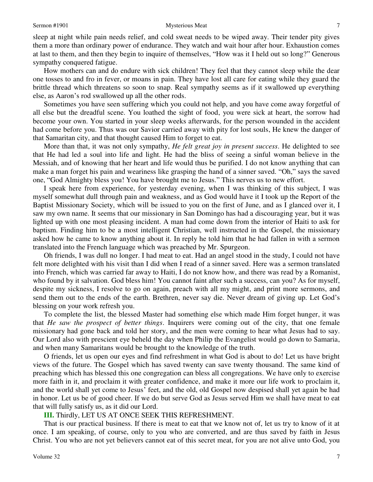sleep at night while pain needs relief, and cold sweat needs to be wiped away. Their tender pity gives them a more than ordinary power of endurance. They watch and wait hour after hour. Exhaustion comes at last to them, and then they begin to inquire of themselves, "How was it I held out so long?" Generous sympathy conquered fatigue.

 How mothers can and do endure with sick children! They feel that they cannot sleep while the dear one tosses to and fro in fever, or moans in pain. They have lost all care for eating while they guard the brittle thread which threatens so soon to snap. Real sympathy seems as if it swallowed up everything else, as Aaron's rod swallowed up all the other rods.

 Sometimes you have seen suffering which you could not help, and you have come away forgetful of all else but the dreadful scene. You loathed the sight of food, you were sick at heart, the sorrow had become your own. You started in your sleep weeks afterwards, for the person wounded in the accident had come before you. Thus was our Savior carried away with pity for lost souls, He knew the danger of that Samaritan city, and that thought caused Him to forget to eat.

 More than that, it was not only sympathy, *He felt great joy in present success*. He delighted to see that He had led a soul into life and light. He had the bliss of seeing a sinful woman believe in the Messiah, and of knowing that her heart and life would thus be purified. I do not know anything that can make a man forget his pain and weariness like grasping the hand of a sinner saved. "Oh," says the saved one, "God Almighty bless you! You have brought me to Jesus." This nerves us to new effort.

 I speak here from experience, for yesterday evening, when I was thinking of this subject, I was myself somewhat dull through pain and weakness, and as God would have it I took up the Report of the Baptist Missionary Society, which will be issued to you on the first of June, and as I glanced over it, I saw my own name. It seems that our missionary in San Domingo has had a discouraging year, but it was lighted up with one most pleasing incident. A man had come down from the interior of Haiti to ask for baptism. Finding him to be a most intelligent Christian, well instructed in the Gospel, the missionary asked how he came to know anything about it. In reply he told him that he had fallen in with a sermon translated into the French language which was preached by Mr. Spurgeon.

 Oh friends, I was dull no longer. I had meat to eat. Had an angel stood in the study, I could not have felt more delighted with his visit than I did when I read of a sinner saved. Here was a sermon translated into French, which was carried far away to Haiti, I do not know how, and there was read by a Romanist, who found by it salvation. God bless him! You cannot faint after such a success, can you? As for myself, despite my sickness, I resolve to go on again, preach with all my might, and print more sermons, and send them out to the ends of the earth. Brethren, never say die. Never dream of giving up. Let God's blessing on your work refresh you.

 To complete the list, the blessed Master had something else which made Him forget hunger, it was that *He saw the prospect of better things*. Inquirers were coming out of the city, that one female missionary had gone back and told her story, and the men were coming to hear what Jesus had to say. Our Lord also with prescient eye beheld the day when Philip the Evangelist would go down to Samaria, and when many Samaritans would be brought to the knowledge of the truth.

O friends, let us open our eyes and find refreshment in what God is about to do! Let us have bright views of the future. The Gospel which has saved twenty can save twenty thousand. The same kind of preaching which has blessed this one congregation can bless all congregations. We have only to exercise more faith in it, and proclaim it with greater confidence, and make it more our life work to proclaim it, and the world shall yet come to Jesus' feet, and the old, old Gospel now despised shall yet again be had in honor. Let us be of good cheer. If we do but serve God as Jesus served Him we shall have meat to eat that will fully satisfy us, as it did our Lord.

**III.** Thirdly, LET US AT ONCE SEEK THIS REFRESHMENT.

 That is our practical business. If there is meat to eat that we know not of, let us try to know of it at once. I am speaking, of course, only to you who are converted, and are thus saved by faith in Jesus Christ. You who are not yet believers cannot eat of this secret meat, for you are not alive unto God, you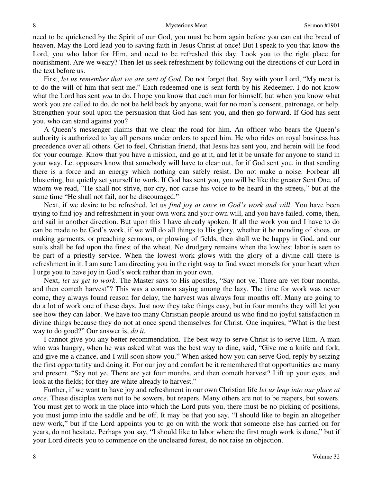#### 8 Mysterious Meat Sermon #1901

need to be quickened by the Spirit of our God, you must be born again before you can eat the bread of heaven. May the Lord lead you to saving faith in Jesus Christ at once! But I speak to you that know the Lord, you who labor for Him, and need to be refreshed this day. Look you to the right place for nourishment. Are we weary? Then let us seek refreshment by following out the directions of our Lord in the text before us.

 First, *let us remember that we are sent of God*. Do not forget that. Say with your Lord, "My meat is to do the will of him that sent me." Each redeemed one is sent forth by his Redeemer. I do not know what the Lord has sent *you* to do. I hope you know that each man for himself, but when you know what work you are called to do, do not be held back by anyone, wait for no man's consent, patronage, or help. Strengthen your soul upon the persuasion that God has sent you, and then go forward. If God has sent you, who can stand against you?

 A Queen's messenger claims that we clear the road for him. An officer who bears the Queen's authority is authorized to lay all persons under orders to speed him. He who rides on royal business has precedence over all others. Get to feel, Christian friend, that Jesus has sent you, and herein will lie food for your courage. Know that you have a mission, and go at it, and let it be unsafe for anyone to stand in your way. Let opposers know that somebody will have to clear out, for if God sent you, in that sending there is a force and an energy which nothing can safely resist. Do not make a noise. Forbear all blustering, but quietly set yourself to work. If God has sent you, you will be like the greater Sent One, of whom we read, "He shall not strive, nor cry, nor cause his voice to be heard in the streets," but at the same time "He shall not fail, nor be discouraged."

 Next, if we desire to be refreshed, let us *find joy at once in God's work and will*. You have been trying to find joy and refreshment in your own work and your own will, and you have failed, come, then, and sail in another direction. But upon this I have already spoken. If all the work you and I have to do can be made to be God's work, if we will do all things to His glory, whether it be mending of shoes, or making garments, or preaching sermons, or plowing of fields, then shall we be happy in God, and our souls shall be fed upon the finest of the wheat. No drudgery remains when the lowliest labor is seen to be part of a priestly service. When the lowest work glows with the glory of a divine call there is refreshment in it. I am sure I am directing you in the right way to find sweet morsels for your heart when I urge you to have joy in God's work rather than in your own.

 Next, *let us get to work*. The Master says to His apostles, "Say not ye, There are yet four months, and then cometh harvest"? This was a common saying among the lazy. The time for work was never come, they always found reason for delay, the harvest was always four months off. Many are going to do a lot of work one of these days. Just now they take things easy, but in four months they will let you see how they can labor. We have too many Christian people around us who find no joyful satisfaction in divine things because they do not at once spend themselves for Christ. One inquires, "What is the best way to do good?" Our answer is, *do it.*

 I cannot give you any better recommendation. The best way to serve Christ is to serve Him. A man who was hungry, when he was asked what was the best way to dine, said, "Give me a knife and fork, and give me a chance, and I will soon show you." When asked how you can serve God, reply by seizing the first opportunity and doing it. For our joy and comfort be it remembered that opportunities are many and present. "Say not ye, There are yet four months, and then cometh harvest? Lift up your eyes, and look at the fields; for they are white already to harvest."

 Further, if we want to have joy and refreshment in our own Christian life *let us leap into our place at once*. These disciples were not to be sowers, but reapers. Many others are not to be reapers, but sowers. You must get to work in the place into which the Lord puts you, there must be no picking of positions, you must jump into the saddle and be off. It may be that you say, "I should like to begin an altogether new work," but if the Lord appoints you to go on with the work that someone else has carried on for years, do not hesitate. Perhaps you say, "I should like to labor where the first rough work is done," but if your Lord directs you to commence on the uncleared forest, do not raise an objection.